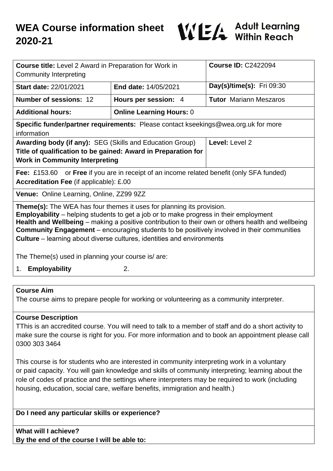

| <b>Course title:</b> Level 2 Award in Preparation for Work in<br><b>Community Interpreting</b>                                                                                                                                                                                                                                                                                                                                                                          |                                 | <b>Course ID: C2422094</b>    |
|-------------------------------------------------------------------------------------------------------------------------------------------------------------------------------------------------------------------------------------------------------------------------------------------------------------------------------------------------------------------------------------------------------------------------------------------------------------------------|---------------------------------|-------------------------------|
| <b>Start date: 22/01/2021</b>                                                                                                                                                                                                                                                                                                                                                                                                                                           | <b>End date: 14/05/2021</b>     | Day(s)/time(s): Fri 09:30     |
| <b>Number of sessions: 12</b>                                                                                                                                                                                                                                                                                                                                                                                                                                           | Hours per session: 4            | <b>Tutor Mariann Meszaros</b> |
| <b>Additional hours:</b>                                                                                                                                                                                                                                                                                                                                                                                                                                                | <b>Online Learning Hours: 0</b> |                               |
| <b>Specific funder/partner requirements:</b> Please contact kseekings@wea.org.uk for more<br>information                                                                                                                                                                                                                                                                                                                                                                |                                 |                               |
| <b>Awarding body (if any): SEG (Skills and Education Group)</b><br>Title of qualification to be gained: Award in Preparation for<br><b>Work in Community Interpreting</b>                                                                                                                                                                                                                                                                                               |                                 | Level: Level 2                |
| <b>Fee:</b> £153.60 or <b>Free</b> if you are in receipt of an income related benefit (only SFA funded)<br><b>Accreditation Fee (if applicable): £.00</b>                                                                                                                                                                                                                                                                                                               |                                 |                               |
| Venue: Online Learning, Online, ZZ99 9ZZ                                                                                                                                                                                                                                                                                                                                                                                                                                |                                 |                               |
| <b>Theme(s):</b> The WEA has four themes it uses for planning its provision.<br><b>Employability</b> – helping students to get a job or to make progress in their employment<br>Health and Wellbeing – making a positive contribution to their own or others health and wellbeing<br><b>Community Engagement</b> – encouraging students to be positively involved in their communities<br><b>Culture</b> – learning about diverse cultures, identities and environments |                                 |                               |
| The Theme(s) used in planning your course is/ are:                                                                                                                                                                                                                                                                                                                                                                                                                      |                                 |                               |
| 1. Employability                                                                                                                                                                                                                                                                                                                                                                                                                                                        | 2.                              |                               |

### **Course Aim**

The course aims to prepare people for working or volunteering as a community interpreter.

#### **Course Description**

TThis is an accredited course. You will need to talk to a member of staff and do a short activity to make sure the course is right for you. For more information and to book an appointment please call 0300 303 3464

This course is for students who are interested in community interpreting work in a voluntary or paid capacity. You will gain knowledge and skills of community interpreting; learning about the role of codes of practice and the settings where interpreters may be required to work (including housing, education, social care, welfare benefits, immigration and health.)

### **Do I need any particular skills or experience?**

**What will I achieve? By the end of the course I will be able to:**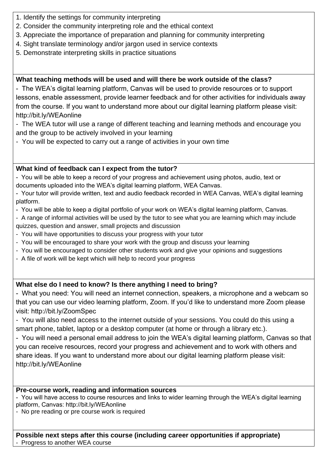- 1. Identify the settings for community interpreting
- 2. Consider the community interpreting role and the ethical context
- 3. Appreciate the importance of preparation and planning for community interpreting
- 4. Sight translate terminology and/or jargon used in service contexts
- 5. Demonstrate interpreting skills in practice situations

## **What teaching methods will be used and will there be work outside of the class?**

- The WEA's digital learning platform, Canvas will be used to provide resources or to support lessons, enable assessment, provide learner feedback and for other activities for individuals away from the course. If you want to understand more about our digital learning platform please visit: http://bit.ly/WEAonline

- The WEA tutor will use a range of different teaching and learning methods and encourage you and the group to be actively involved in your learning
- You will be expected to carry out a range of activities in your own time

## **What kind of feedback can I expect from the tutor?**

- You will be able to keep a record of your progress and achievement using photos, audio, text or documents uploaded into the WEA's digital learning platform, WEA Canvas.

- Your tutor will provide written, text and audio feedback recorded in WEA Canvas, WEA's digital learning platform.

- You will be able to keep a digital portfolio of your work on WEA's digital learning platform, Canvas.
- A range of informal activities will be used by the tutor to see what you are learning which may include quizzes, question and answer, small projects and discussion
- You will have opportunities to discuss your progress with your tutor
- You will be encouraged to share your work with the group and discuss your learning
- You will be encouraged to consider other students work and give your opinions and suggestions
- A file of work will be kept which will help to record your progress

# **What else do I need to know? Is there anything I need to bring?**

- What you need: You will need an internet connection, speakers, a microphone and a webcam so that you can use our video learning platform, Zoom. If you'd like to understand more Zoom please visit: http://bit.ly/ZoomSpec

- You will also need access to the internet outside of your sessions. You could do this using a smart phone, tablet, laptop or a desktop computer (at home or through a library etc.).

- You will need a personal email address to join the WEA's digital learning platform, Canvas so that you can receive resources, record your progress and achievement and to work with others and share ideas. If you want to understand more about our digital learning platform please visit: http://bit.ly/WEAonline

### **Pre-course work, reading and information sources**

- You will have access to course resources and links to wider learning through the WEA's digital learning platform, Canvas: http://bit.ly/WEAonline

- No pre reading or pre course work is required

#### **Possible next steps after this course (including career opportunities if appropriate)** Progress to another WEA course